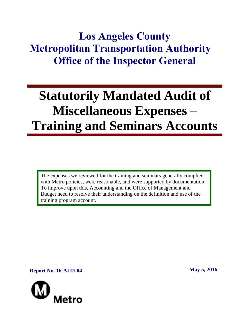## **Los Angeles County Metropolitan Transportation Authority Office of the Inspector General**

# **Statutorily Mandated Audit of Miscellaneous Expenses – Training and Seminars Accounts**

The expenses we reviewed for the training and seminars generally complied with Metro policies, were reasonable, and were supported by documentation. To improve upon this, Accounting and the Office of Management and Budget need to resolve their understanding on the definition and use of the training program account.

**Report No. 16-AUD-04 May 5, 2016** 

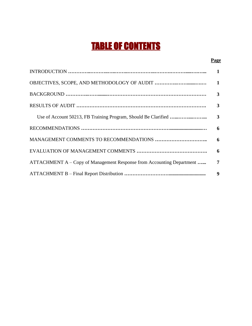## TABLE OF CONTENTS

#### **Page**

|                                                                       | 1                       |
|-----------------------------------------------------------------------|-------------------------|
|                                                                       |                         |
|                                                                       | $\mathbf{3}$            |
|                                                                       | $\mathbf{3}$            |
|                                                                       | $\mathbf{3}$            |
|                                                                       |                         |
|                                                                       |                         |
|                                                                       | $\overline{\mathbf{6}}$ |
| ATTACHMENT A – Copy of Management Response from Accounting Department | $\overline{7}$          |
|                                                                       | 9                       |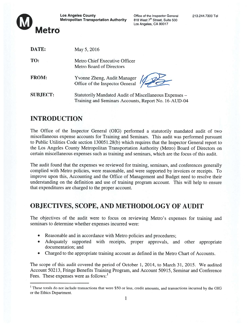

| DATE:           | May 5, 2016                                                                                                    |
|-----------------|----------------------------------------------------------------------------------------------------------------|
| TO:             | Metro Chief Executive Officer<br><b>Metro Board of Directors</b>                                               |
| <b>FROM:</b>    | Yvonne Zheng, Audit Manager                                                                                    |
| <b>SUBJECT:</b> | Statutorily Mandated Audit of Miscellaneous Expenses -<br>Training and Seminars Accounts, Report No. 16-AUD-04 |

### INTRODUCTION

The Office of the Inspector General (OIG) performed <sup>a</sup> statutorily mandated audit of two miscellaneous expense accounts for Training and Seminars. This audit was performed pursuan<sup>t</sup> to Public Utilities Code section 13005 <sup>1</sup> .28(b) which requires that the Inspector General repor<sup>t</sup> to the Los Angeles County Metropolitan Transportation Authority (Metro) Board of Directors on certain miscellaneous expenses such as training and seminars, which are the focus of this audit.

The audit found that the expenses we reviewed for training, seminars, and conferences generally complied with Metro policies, were reasonable, and were supported by invoices or receipts. To improve upon this, Accounting and the Office of Management and Budget need to resolve their understanding on the definition and use of training program account. This will help to ensure that expenditures are charged to the proper account.

## OBJECTIVES, SCOPE, AND METHODOLOGY Of AUDIT

The objectives of the audit were to focus on reviewing Metro's expenses for training and seminars to determine whether expenses incurred were:

- . Reasonable and in accordance with Metro policies and procedures;
- . Adequately supported with receipts, proper approvals, and other appropriate documentation; and
- . Charged to the appropriate training account as defined in the Metro Chart of Accounts.

The scope of this audit covered the period of October 1, 2014, to March 31, 2015. We audited Account 50213, Fringe Benefits Training Program, and Account 50915, Seminar and Conference Fees. These expenses were as follows:<sup>1</sup>

<sup>&</sup>lt;sup>1</sup> These totals do not include transactions that were \$50 or less, credit amounts, and transactions incurred by the OIG or the Ethics Department.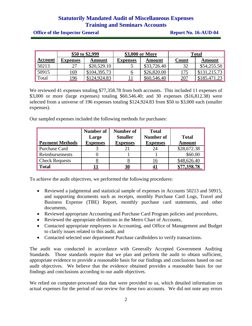**Office of the Inspector General <b>Report No. 16-AUD-04** 

| \$50 to \$2,999 |                 | \$3,000 or More |          | <b>Total</b> |            |              |
|-----------------|-----------------|-----------------|----------|--------------|------------|--------------|
| <u>Account</u>  | <b>Expenses</b> | Amount          | Expenses | Amount       | Count      | Amount       |
| 50213           |                 | \$20,529.10     |          | \$33,726.40  | 32         | \$54,255.50  |
| 50915           | 169             | \$104,395.73    |          | \$26,820.00  | 175        | \$131,215.73 |
| Total           | <u> 196</u>     | \$124,924.83    |          | \$60,546.40  | <u>207</u> | \$185,471.23 |

We reviewed 41 expenses totaling \$77,358.78 from both accounts. This included 11 expenses of \$3,000 or more (large expenses) totaling \$60,546.40; and 30 expenses (\$16,812.38) were selected from a universe of 196 expenses totaling \$124,924.83 from \$50 to \$3,000 each (smaller expenses).

Our sampled expenses included the following methods for purchases:

| <b>Payment Methods</b> | Number of<br>Large<br><b>Expenses</b> | Number of<br><b>Smaller</b><br><b>Expenses</b> | <b>Total</b><br><b>Number of</b><br><b>Expenses</b> | <b>Total</b><br><b>Amount</b> |
|------------------------|---------------------------------------|------------------------------------------------|-----------------------------------------------------|-------------------------------|
| <b>Purchase Card</b>   |                                       |                                                | 24                                                  | \$28,672.38                   |
| Reimbursements         |                                       |                                                |                                                     | \$60.00                       |
| <b>Check Requests</b>  |                                       |                                                |                                                     | \$48,626.40                   |
| <b>Total</b>           |                                       | <u>30</u>                                      |                                                     | \$77,358.78                   |

To achieve the audit objectives, we performed the following procedures:

- Reviewed a judgmental and statistical sample of expenses in Accounts 50213 and 50915, and supporting documents such as receipts, monthly Purchase Card Logs, Travel and Business Expense (TBE) Report, monthly purchase card statements, and other documents,
- Reviewed appropriate Accounting and Purchase Card Program policies and procedures,
- Reviewed the appropriate definitions in the Metro Chart of Accounts,
- Contacted appropriate employees in Accounting, and Office of Management and Budget to clarify issues related to this audit, and
- Contacted selected user department Purchase cardholders to verify transactions.

The audit was conducted in accordance with Generally Accepted Government Auditing Standards. Those standards require that we plan and perform the audit to obtain sufficient, appropriate evidence to provide a reasonable basis for our findings and conclusions based on our audit objectives. We believe that the evidence obtained provides a reasonable basis for our findings and conclusions according to our audit objectives.

We relied on computer-processed data that were provided to us, which detailed information on actual expenses for the period of our review for these two accounts. We did not note any errors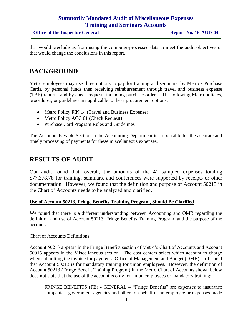that would preclude us from using the computer-processed data to meet the audit objectives or that would change the conclusions in this report.

#### **BACKGROUND**

Metro employees may use three options to pay for training and seminars: by Metro's Purchase Cards, by personal funds then receiving reimbursement through travel and business expense (TBE) reports, and by check requests including purchase orders. The following Metro policies, procedures, or guidelines are applicable to these procurement options:

- Metro Policy FIN 14 (Travel and Business Expense)
- Metro Policy ACC 01 (Check Request)
- Purchase Card Program Rules and Guidelines

The Accounts Payable Section in the Accounting Department is responsible for the accurate and timely processing of payments for these miscellaneous expenses.

#### **RESULTS OF AUDIT**

Our audit found that, overall, the amounts of the 41 sampled expenses totaling \$77,378.78 for training, seminars, and conferences were supported by receipts or other documentation. However, we found that the definition and purpose of Account 50213 in the Chart of Accounts needs to be analyzed and clarified.

#### **Use of Account 50213, Fringe Benefits Training Program, Should Be Clarified**

We found that there is a different understanding between Accounting and OMB regarding the definition and use of Account 50213, Fringe Benefits Training Program, and the purpose of the account.

#### Chart of Accounts Definitions

Account 50213 appears in the Fringe Benefits section of Metro's Chart of Accounts and Account 50915 appears in the Miscellaneous section. The cost centers select which account to charge when submitting the invoice for payment. Office of Management and Budget (OMB) staff stated that Account 50213 is for mandatory training for union employees. However, the definition of Account 50213 (Fringe Benefit Training Program) in the Metro Chart of Accounts shown below does not state that the use of the account is only for union employees or mandatory training:

FRINGE BENEFITS (FB) - GENERAL – "Fringe Benefits" are expenses to insurance companies, government agencies and others on behalf of an employee or expenses made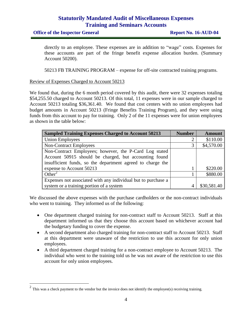**Office of the Inspector General <b>Report No. 16-AUD-04** 

directly to an employee. These expenses are in addition to "wage" costs. Expenses for these accounts are part of the fringe benefit expense allocation burden. (Summary Account 50200).

50213 FB TRAINING PROGRAM – expense for off-site contracted training programs.

#### Review of Expenses Charged to Account 50213

We found that, during the 6 month period covered by this audit, there were 32 expenses totaling \$54,255.50 charged to Account 50213. Of this total, 11 expenses were in our sample charged to Account 50213 totaling \$36,361.40. We found that cost centers with no union employees had budget amounts in Account 50213 (Fringe Benefits Training Program), and they were using funds from this account to pay for training. Only 2 of the 11 expenses were for union employees as shown in the table below:

| <b>Sampled Training Expenses Charged to Account 50213</b>     | <b>Number</b> | <b>Amount</b> |
|---------------------------------------------------------------|---------------|---------------|
| <b>Union Employees</b>                                        |               | \$110.00      |
| <b>Non-Contract Employees</b>                                 | 3             | \$4,570.00    |
| Non-Contract Employees; however, the P-Card Log stated        |               |               |
| Account 50915 should be charged, but accounting found         |               |               |
| insufficient funds, so the department agreed to charge the    |               |               |
| expense to Account 50213                                      |               | \$220.00      |
| Other <sup>2</sup>                                            |               | \$880.00      |
| Expenses not associated with any individual but to purchase a |               |               |
| system or a training portion of a system                      |               | \$30,581.40   |

We discussed the above expenses with the purchase cardholders or the non-contract individuals who went to training. They informed us of the following:

- One department charged training for non-contract staff to Account 50213. Staff at this department informed us that they choose this account based on whichever account had the budgetary funding to cover the expense.
- A second department also charged training for non-contract staff to Account 50213. Staff at this department were unaware of the restriction to use this account for only union employees.
- A third department charged training for a non-contract employee to Account 50213. The individual who went to the training told us he was not aware of the restriction to use this account for only union employees.

<sup>&</sup>lt;sup>2</sup> This was a check payment to the vendor but the invoice does not identify the employee(s) receiving training.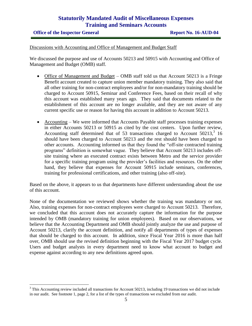**Office of the Inspector General <b>Report No. 16-AUD-04** 

 $\overline{a}$ 

Discussions with Accounting and Office of Management and Budget Staff

We discussed the purpose and use of Accounts 50213 and 50915 with Accounting and Office of Management and Budget (OMB) staff.

- Office of Management and Budget OMB staff told us that Account 50213 is a Fringe Benefit account created to capture union member mandatory training. They also said that all other training for non-contract employees and/or for non-mandatory training should be charged to Account 50915, Seminar and Conference Fees, based on their recall of why this account was established many years ago. They said that documents related to the establishment of this account are no longer available, and they are not aware of any current specific use or reason for having this account in addition to Account 50213.
- Accounting We were informed that Accounts Payable staff processes training expenses in either Accounts 50213 or 50915 as cited by the cost centers. Upon further review, Accounting staff determined that of 53 transactions charged to Account  $50213$ ,<sup>3</sup> 16 should have been charged to Account 50213 and the rest should have been charged to other accounts. Accounting informed us that they found the "off-site contracted training programs" definition is somewhat vague. They believe that Account 50213 includes offsite training where an executed contract exists between Metro and the service provider for a specific training program using the provider's facilities and resources. On the other hand, they believe that expenses for Account 50915 include seminars, conferences, training for professional certifications, and other training (also off-site).

Based on the above, it appears to us that departments have different understanding about the use of this account.

None of the documentation we reviewed shows whether the training was mandatory or not. Also, training expenses for non-contract employees were charged to Account 50213. Therefore, we concluded that this account does not accurately capture the information for the purpose intended by OMB (mandatory training for union employees). Based on our observations, we believe that the Accounting Department and OMB should jointly analyze the use and purpose of Account 50213, clarify the account definition, and notify all departments of types of expenses that should be charged to this account. In addition, since Fiscal Year 2016 is more than half over, OMB should use the revised definition beginning with the Fiscal Year 2017 budget cycle. Users and budget analysts in every department need to know what account to budget and expense against according to any new definitions agreed upon.

<sup>&</sup>lt;sup>3</sup> This Accounting review included all transactions for Account 50213, including 19 transactions we did not include in our audit. See footnote 1, page 2, for a list of the types of transactions we excluded from our audit.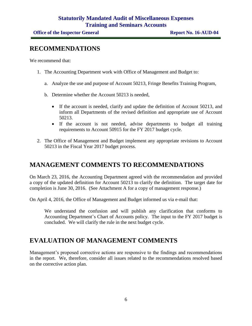#### **RECOMMENDATIONS**

We recommend that:

- 1. The Accounting Department work with Office of Management and Budget to:
	- a. Analyze the use and purpose of Account 50213, Fringe Benefits Training Program,
	- b. Determine whether the Account 50213 is needed,
		- If the account is needed, clarify and update the definition of Account 50213, and inform all Departments of the revised definition and appropriate use of Account 50213.
		- If the account is not needed, advise departments to budget all training requirements to Account 50915 for the FY 2017 budget cycle.
- 2. The Office of Management and Budget implement any appropriate revisions to Account 50213 in the Fiscal Year 2017 budget process.

### **MANAGEMENT COMMENTS TO RECOMMENDATIONS**

On March 23, 2016, the Accounting Department agreed with the recommendation and provided a copy of the updated definition for Account 50213 to clarify the definition. The target date for completion is June 30, 2016. (See Attachment A for a copy of management response.)

On April 4, 2016, the Office of Management and Budget informed us via e-mail that:

We understand the confusion and will publish any clarification that conforms to Accounting Department's Chart of Accounts policy. The input to the FY 2017 budget is concluded. We will clarify the rule in the next budget cycle.

### **EVALUATION OF MANAGEMENT COMMENTS**

Management's proposed corrective actions are responsive to the findings and recommendations in the report. We, therefore, consider all issues related to the recommendations resolved based on the corrective action plan.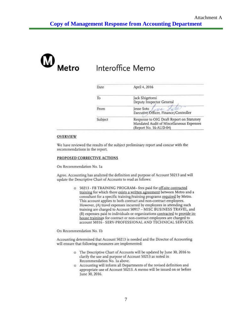

## Interoffice Memo

| Date    | April 4, 2016                                                      |
|---------|--------------------------------------------------------------------|
| Тo      | Jack Shigetomi                                                     |
|         | Deputy Inspector General                                           |
| From    | esse Soto                                                          |
|         | Executive Officer, Finance/Controller                              |
| Subject | Response to OIG Draft Report on Statutory                          |
|         | Mandated Audit of Miscellaneous Expenses<br>(Report No. 16-AUD-04) |

#### **OVERVIEW**

We have reviewed the results of the subject preliminary report and concur with the recommendations in the report.

#### PROPOSED CORRECTIVE ACTIONS

On Recommendation No. 1a

Agree. Accounting has analyzed the definition and purpose of Account 50213 and will update the Descriptive Chart of Accounts to read as follows:

> o 50213 - FB TRAINING PROGRAM-fees paid for off-site contracted training for which there exists a written agreement between Metro and a consultant for a specific training/training programs required by Metro. This account applies to both contract and non-contract employees. However, (A) travel expenses incurred by employees in attending such training are charged to Account 50917 - MISC BUSINESS TRAVEL, and (B) expenses paid to individuals or organizations contracted to provide inhouse trainings for contract or non-contract employees are charged to account 50316 - SERV-PROFESSIONAL AND TECHNICAL SERVICES.

On Recommendation No. 1b

Accounting determined that Account 50213 is needed and the Director of Accounting will ensure that following measures are implemented:

- o The Descriptive Chart of Accounts will be updated by June 30, 2016 to clarify the use and purpose of Account 50213 as noted in Recommendation No. 1a above.
- o Accounting will inform all Departments of the revised definition and appropriate use of Account 50213. A memo will be issued on or before June 30, 2016.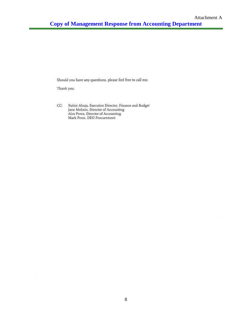Should you have any questions, please feel free to call me.

Thank you.

CC: Nalini Ahuja, Executive Director, Finance and Budget Jane Mohsin, Director of Accounting<br>Alex Perez, Director of Accounting Mark Penn, DEO Procurement